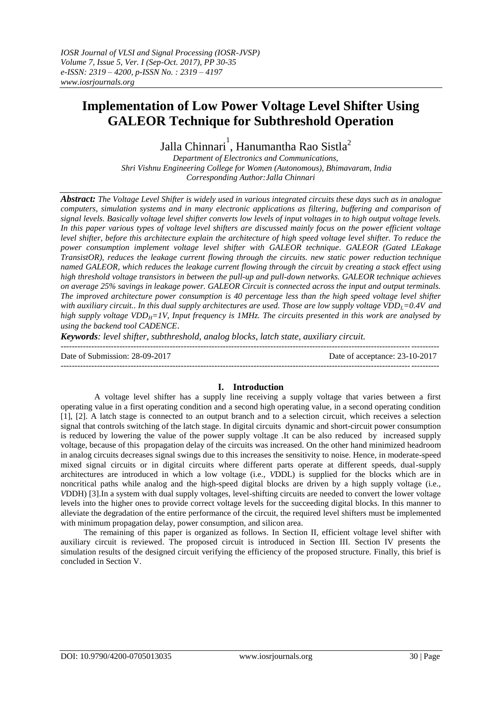# **Implementation of Low Power Voltage Level Shifter Using GALEOR Technique for Subthreshold Operation**

Jalla Chinnari $^1$ , Hanumantha Rao Sistla $^2$ 

*Department of Electronics and Communications, Shri Vishnu Engineering College for Women (Autonomous), Bhimavaram, India Corresponding Author:Jalla Chinnari*

*Abstract: The Voltage Level Shifter is widely used in various integrated circuits these days such as in analogue computers, simulation systems and in many electronic applications as filtering, buffering and comparison of signal levels. Basically voltage level shifter converts low levels of input voltages in to high output voltage levels. In this paper various types of voltage level shifters are discussed mainly focus on the power efficient voltage level shifter, before this architecture explain the architecture of high speed voltage level shifter. To reduce the power consumption implement voltage level shifter with GALEOR technique. GALEOR (Gated LEakage TransistOR*), reduces the leakage current flowing through the circuits, new static power reduction technique *named GALEOR, which reduces the leakage current flowing through the circuit by creating a stack effect using high threshold voltage transistors in between the pull-up and pull-down networks. GALEOR technique achieves on average 25% savings in leakage power. GALEOR Circuit is connected across the input and output terminals. The improved architecture power consumption is 40 percentage less than the high speed voltage level shifter with auxiliary circuit.. In this dual supply architectures are used. Those are low supply voltage VDDL=0.4V and high supply voltage VDDH=1V, Input frequency is 1MHz. The circuits presented in this work are analysed by using the backend tool CADENCE*.

*Keywords: level shifter, subthreshold, analog blocks, latch state, auxiliary circuit.*

--------------------------------------------------------------------------------------------------------------------------------------- Date of Submission: 28-09-2017 Date of acceptance: 23-10-2017 ---------------------------------------------------------------------------------------------------------------------------------------

# **I. Introduction**

A voltage level shifter has a supply line receiving a supply voltage that varies between a first operating value in a first operating condition and a second high operating value, in a second operating condition [1], [2]. A latch stage is connected to an output branch and to a selection circuit, which receives a selection signal that controls switching of the latch stage. In digital circuits dynamic and short-circuit power consumption is reduced by lowering the value of the power supply voltage .It can be also reduced by increased supply voltage, because of this propagation delay of the circuits was increased. On the other hand minimized headroom in analog circuits decreases signal swings due to this increases the sensitivity to noise. Hence, in moderate-speed mixed signal circuits or in digital circuits where different parts operate at different speeds, dual-supply architectures are introduced in which a low voltage (i.e., *V*DDL) is supplied for the blocks which are in noncritical paths while analog and the high-speed digital blocks are driven by a high supply voltage (i.e., *V*DDH) [3].In a system with dual supply voltages, level-shifting circuits are needed to convert the lower voltage levels into the higher ones to provide correct voltage levels for the succeeding digital blocks. In this manner to alleviate the degradation of the entire performance of the circuit, the required level shifters must be implemented with minimum propagation delay, power consumption, and silicon area.

 The remaining of this paper is organized as follows. In Section II, efficient voltage level shifter with auxiliary circuit is reviewed. The proposed circuit is introduced in Section III. Section IV presents the simulation results of the designed circuit verifying the efficiency of the proposed structure. Finally, this brief is concluded in Section V.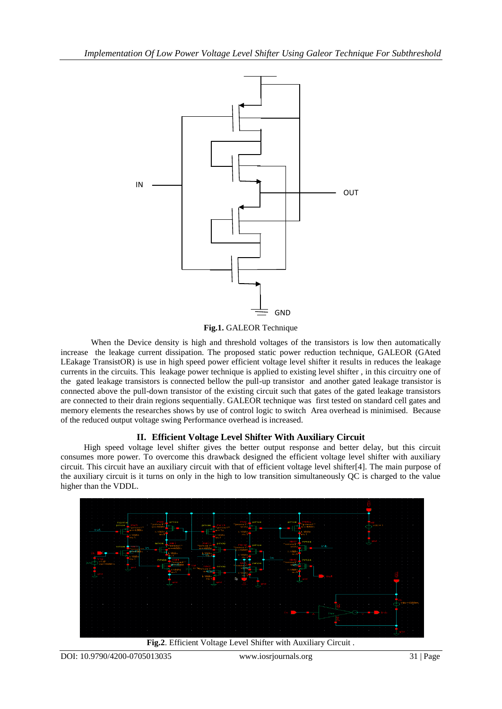

**Fig.1.** GALEOR Technique

When the Device density is high and threshold voltages of the transistors is low then automatically increase the leakage current dissipation. The proposed static power reduction technique, GALEOR (GAted LEakage TransistOR) is use in high speed power efficient voltage level shifter it results in reduces the leakage currents in the circuits. This leakage power technique is applied to existing level shifter , in this circuitry one of the gated leakage transistors is connected bellow the pull-up transistor and another gated leakage transistor is connected above the pull-down transistor of the existing circuit such that gates of the gated leakage transistors are connected to their drain regions sequentially. GALEOR technique was first tested on standard cell gates and memory elements the researches shows by use of control logic to switch Area overhead is minimised. Because of the reduced output voltage swing Performance overhead is increased.

# **II. Efficient Voltage Level Shifter With Auxiliary Circuit**

 High speed voltage level shifter gives the better output response and better delay, but this circuit consumes more power. To overcome this drawback designed the efficient voltage level shifter with auxiliary circuit. This circuit have an auxiliary circuit with that of efficient voltage level shifter[4]. The main purpose of the auxiliary circuit is it turns on only in the high to low transition simultaneously QC is charged to the value higher than the VDDL.



**Fig.2**. Efficient Voltage Level Shifter with Auxiliary Circuit .

DOI: 10.9790/4200-0705013035 www.iosrjournals.org 31 | Page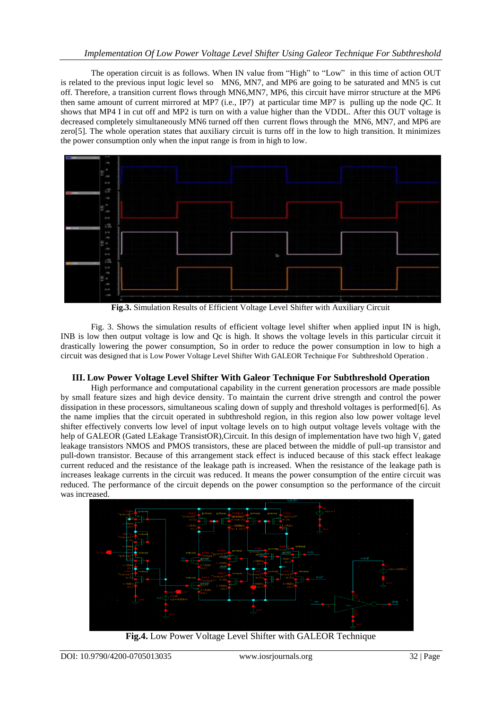The operation circuit is as follows. When IN value from "High" to "Low" in this time of action OUT is related to the previous input logic level so MN6, MN7, and MP6 are going to be saturated and MN5 is cut off. Therefore, a transition current flows through MN6,MN7, MP6, this circuit have mirror structure at the MP6 then same amount of current mirrored at MP7 (i.e., IP7) at particular time MP7 is pulling up the node *QC*. It shows that MP4 I in cut off and MP2 is turn on with a value higher than the VDDL. After this OUT voltage is decreased completely simultaneously MN6 turned off then current flows through the MN6, MN7, and MP6 are zero[5]. The whole operation states that auxiliary circuit is turns off in the low to high transition. It minimizes the power consumption only when the input range is from in high to low.



**Fig.3.** Simulation Results of Efficient Voltage Level Shifter with Auxiliary Circuit

Fig. 3. Shows the simulation results of efficient voltage level shifter when applied input IN is high, INB is low then output voltage is low and Qc is high. It shows the voltage levels in this particular circuit it drastically lowering the power consumption, So in order to reduce the power consumption in low to high a circuit was designed that is Low Power Voltage Level Shifter With GALEOR Technique For Subthreshold Operation .

## **III. Low Power Voltage Level Shifter With Galeor Technique For Subthreshold Operation**

High performance and computational capability in the current generation processors are made possible by small feature sizes and high device density. To maintain the current drive strength and control the power dissipation in these processors, simultaneous scaling down of supply and threshold voltages is performed[6]. As the name implies that the circuit operated in subthreshold region, in this region also low power voltage level shifter effectively converts low level of input voltage levels on to high output voltage levels voltage with the help of GALEOR (Gated LEakage TransistOR), Circuit. In this design of implementation have two high  $V_t$  gated leakage transistors NMOS and PMOS transistors, these are placed between the middle of pull-up transistor and pull-down transistor. Because of this arrangement stack effect is induced because of this stack effect leakage current reduced and the resistance of the leakage path is increased. When the resistance of the leakage path is increases leakage currents in the circuit was reduced. It means the power consumption of the entire circuit was reduced. The performance of the circuit depends on the power consumption so the performance of the circuit was increased.



**Fig.4.** Low Power Voltage Level Shifter with GALEOR Technique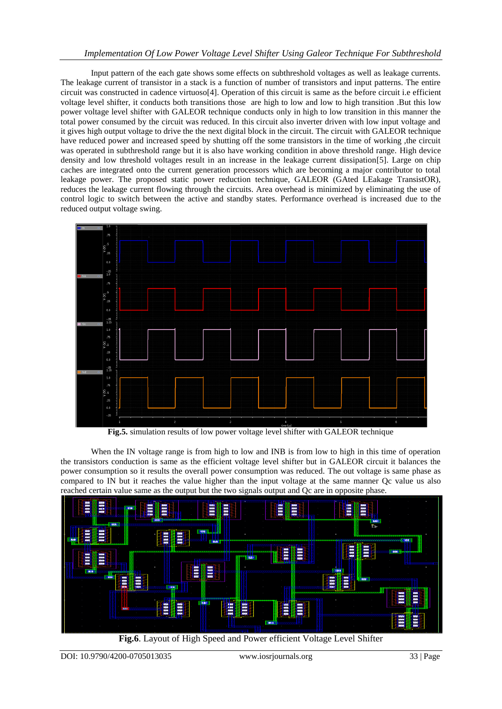## *Implementation Of Low Power Voltage Level Shifter Using Galeor Technique For Subthreshold*

Input pattern of the each gate shows some effects on subthreshold voltages as well as leakage currents. The leakage current of transistor in a stack is a function of number of transistors and input patterns. The entire circuit was constructed in cadence virtuoso[4]. Operation of this circuit is same as the before circuit i.e efficient voltage level shifter, it conducts both transitions those are high to low and low to high transition .But this low power voltage level shifter with GALEOR technique conducts only in high to low transition in this manner the total power consumed by the circuit was reduced. In this circuit also inverter driven with low input voltage and it gives high output voltage to drive the the next digital block in the circuit. The circuit with GALEOR technique have reduced power and increased speed by shutting off the some transistors in the time of working ,the circuit was operated in subthreshold range but it is also have working condition in above threshold range. High device density and low threshold voltages result in an increase in the leakage current dissipation[5]. Large on chip caches are integrated onto the current generation processors which are becoming a major contributor to total leakage power. The proposed static power reduction technique, GALEOR (GAted LEakage TransistOR), reduces the leakage current flowing through the circuits. Area overhead is minimized by eliminating the use of control logic to switch between the active and standby states. Performance overhead is increased due to the reduced output voltage swing.



**Fig.5.** simulation results of low power voltage level shifter with GALEOR technique

When the IN voltage range is from high to low and INB is from low to high in this time of operation the transistors conduction is same as the efficient voltage level shifter but in GALEOR circuit it balances the power consumption so it results the overall power consumption was reduced. The out voltage is same phase as compared to IN but it reaches the value higher than the input voltage at the same manner Qc value us also reached certain value same as the output but the two signals output and Qc are in opposite phase.



**Fig.6**. Layout of High Speed and Power efficient Voltage Level Shifter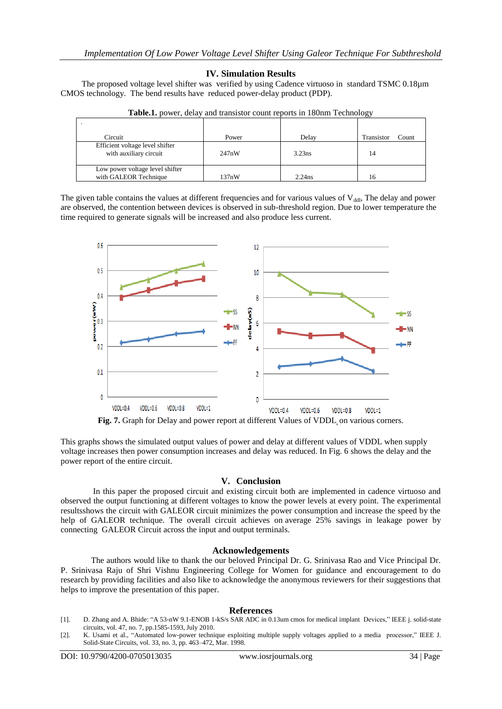#### **IV. Simulation Results**

 The proposed voltage level shifter was verified by using Cadence virtuoso in standard TSMC 0.18µm CMOS technology. The bend results have reduced power-delay product (PDP).

| Circuit                                                   | Power | Delay     | Transistor<br>Count |
|-----------------------------------------------------------|-------|-----------|---------------------|
| Efficient voltage level shifter<br>with auxiliary circuit | 247nW | 3.23ns    | 14                  |
| Low power voltage level shifter<br>with GALEOR Technique  | 137nW | $2.24$ ns |                     |

**Table.1.** power, delay and transistor count reports in 180nm Technology

The given table contains the values at different frequencies and for various values of  $V_{dd}$ . The delay and power are observed, the contention between devices is observed in sub-threshold region. Due to lower temperature the time required to generate signals will be increased and also produce less current.



**Fig. 7.** Graph for Delay and power report at different Values of VDDL**,** on various corners.

This graphs shows the simulated output values of power and delay at different values of VDDL when supply voltage increases then power consumption increases and delay was reduced. In Fig. 6 shows the delay and the power report of the entire circuit.

## **V. Conclusion**

In this paper the proposed circuit and existing circuit both are implemented in cadence virtuoso and observed the output functioning at different voltages to know the power levels at every point. The experimental resultsshows the circuit with GALEOR circuit minimizes the power consumption and increase the speed by the help of GALEOR technique. The overall circuit achieves on average 25% savings in leakage power by connecting GALEOR Circuit across the input and output terminals.

#### **Acknowledgements**

The authors would like to thank the our beloved Principal Dr. G. Srinivasa Rao and Vice Principal Dr. P. Srinivasa Raju of Shri Vishnu Engineering College for Women for guidance and encouragement to do research by providing facilities and also like to acknowledge the anonymous reviewers for their suggestions that helps to improve the presentation of this paper.

#### **References**

- [1]. D. Zhang and A. Bhide: "A 53-nW 9.1-ENOB 1-kS/s SAR ADC in 0.13um cmos for medical implant Devices," IEEE j. solid-state circuits, vol. 47, no. 7, pp.1585-1593, July 2010.
- [2]. K. Usami et al., "Automated low-power technique exploiting multiple supply voltages applied to a media processor," IEEE J. Solid-State Circuits, vol. 33, no. 3, pp. 463–472, Mar. 1998.